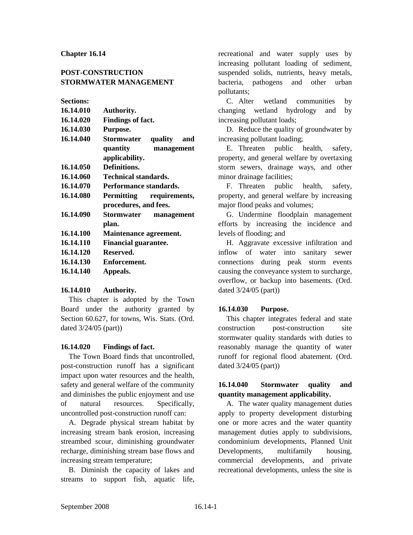### **Chapter 16.14**

## **POST-CONSTRUCTION STORMWATER MANAGEMENT**

## **Sections:**

| 16.14.010 | <b>Authority.</b>           |  |  |  |
|-----------|-----------------------------|--|--|--|
| 16.14.020 | Findings of fact.           |  |  |  |
| 16.14.030 | Purpose.                    |  |  |  |
| 16.14.040 | Stormwater quality<br>and   |  |  |  |
|           | quantity<br>management      |  |  |  |
|           | applicability.              |  |  |  |
| 16.14.050 | Definitions.                |  |  |  |
| 16.14.060 | <b>Technical standards.</b> |  |  |  |
| 16.14.070 | Performance standards.      |  |  |  |
| 16.14.080 | Permitting requirements,    |  |  |  |
|           | procedures, and fees.       |  |  |  |
| 16.14.090 | Stormwater management       |  |  |  |
|           | plan.                       |  |  |  |
| 16.14.100 | Maintenance agreement.      |  |  |  |
| 16.14.110 | <b>Financial guarantee.</b> |  |  |  |
| 16.14.120 | Reserved.                   |  |  |  |
| 16.14.130 | Enforcement.                |  |  |  |
| 16.14.140 | Appeals.                    |  |  |  |
|           |                             |  |  |  |

#### **16.14.010 Authority.**

This chapter is adopted by the Town Board under the authority granted by Section 60.627, for towns, Wis. Stats. (Ord. dated 3/24/05 (part))

#### **16.14.020 Findings of fact.**

The Town Board finds that uncontrolled, post-construction runoff has a significant impact upon water resources and the health, safety and general welfare of the community and diminishes the public enjoyment and use of natural resources. Specifically, uncontrolled post-construction runoff can:

A. Degrade physical stream habitat by increasing stream bank erosion, increasing streambed scour, diminishing groundwater recharge, diminishing stream base flows and increasing stream temperature;

B. Diminish the capacity of lakes and streams to support fish, aquatic life,

recreational and water supply uses by increasing pollutant loading of sediment, suspended solids, nutrients, heavy metals, bacteria, pathogens and other urban pollutants;

C. Alter wetland communities by changing wetland hydrology and by increasing pollutant loads;

D. Reduce the quality of groundwater by increasing pollutant loading;

E. Threaten public health, safety, property, and general welfare by overtaxing storm sewers, drainage ways, and other minor drainage facilities;

F. Threaten public health, safety, property, and general welfare by increasing major flood peaks and volumes;

G. Undermine floodplain management efforts by increasing the incidence and levels of flooding; and

H. Aggravate excessive infiltration and inflow of water into sanitary sewer connections during peak storm events causing the conveyance system to surcharge, overflow, or backup into basements. (Ord. dated 3/24/05 (part))

#### **16.14.030 Purpose.**

This chapter integrates federal and state construction post-construction site stormwater quality standards with duties to reasonably manage the quantity of water runoff for regional flood abatement. (Ord. dated 3/24/05 (part))

### **16.14.040 Stormwater quality and quantity management applicability.**

A. The water quality management duties apply to property development disturbing one or more acres and the water quantity management duties apply to subdivisions, condominium developments, Planned Unit Developments, multifamily housing, commercial developments, and private recreational developments, unless the site is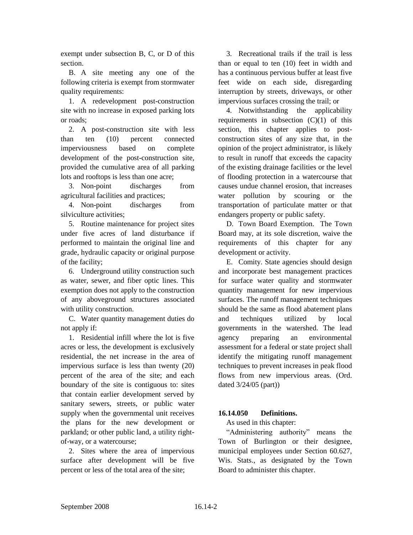exempt under subsection B, C, or D of this section.

B. A site meeting any one of the following criteria is exempt from stormwater quality requirements:

1. A redevelopment post-construction site with no increase in exposed parking lots or roads;

2. A post-construction site with less than ten (10) percent connected imperviousness based on complete development of the post-construction site, provided the cumulative area of all parking lots and rooftops is less than one acre;

3. Non-point discharges from agricultural facilities and practices;

4. Non-point discharges from silviculture activities;

5. Routine maintenance for project sites under five acres of land disturbance if performed to maintain the original line and grade, hydraulic capacity or original purpose of the facility;

6. Underground utility construction such as water, sewer, and fiber optic lines. This exemption does not apply to the construction of any aboveground structures associated with utility construction.

C. Water quantity management duties do not apply if:

1. Residential infill where the lot is five acres or less, the development is exclusively residential, the net increase in the area of impervious surface is less than twenty (20) percent of the area of the site; and each boundary of the site is contiguous to: sites that contain earlier development served by sanitary sewers, streets, or public water supply when the governmental unit receives the plans for the new development or parkland; or other public land, a utility rightof-way, or a watercourse;

2. Sites where the area of impervious surface after development will be five percent or less of the total area of the site;

3. Recreational trails if the trail is less than or equal to ten (10) feet in width and has a continuous pervious buffer at least five feet wide on each side, disregarding interruption by streets, driveways, or other impervious surfaces crossing the trail; or

4. Notwithstanding the applicability requirements in subsection  $(C)(1)$  of this section, this chapter applies to postconstruction sites of any size that, in the opinion of the project administrator, is likely to result in runoff that exceeds the capacity of the existing drainage facilities or the level of flooding protection in a watercourse that causes undue channel erosion, that increases water pollution by scouring or the transportation of particulate matter or that endangers property or public safety.

D. Town Board Exemption. The Town Board may, at its sole discretion, waive the requirements of this chapter for any development or activity.

E. Comity. State agencies should design and incorporate best management practices for surface water quality and stormwater quantity management for new impervious surfaces. The runoff management techniques should be the same as flood abatement plans and techniques utilized by local governments in the watershed. The lead agency preparing an environmental assessment for a federal or state project shall identify the mitigating runoff management techniques to prevent increases in peak flood flows from new impervious areas. (Ord. dated 3/24/05 (part))

# **16.14.050 Definitions.**

As used in this chapter:

"Administering authority" means the Town of Burlington or their designee, municipal employees under Section 60.627, Wis. Stats., as designated by the Town Board to administer this chapter.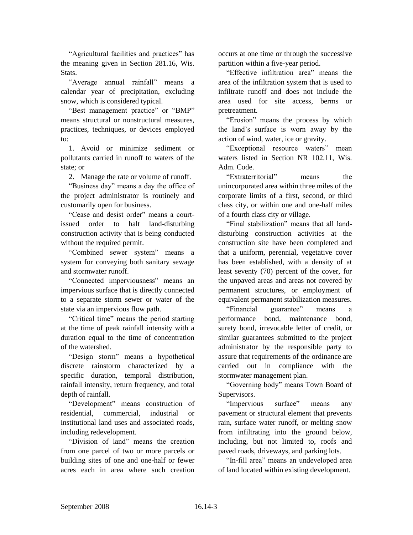"Agricultural facilities and practices" has the meaning given in Section 281.16, Wis. Stats.

"Average annual rainfall" means a calendar year of precipitation, excluding snow, which is considered typical.

"Best management practice" or "BMP" means structural or nonstructural measures, practices, techniques, or devices employed to:

1. Avoid or minimize sediment or pollutants carried in runoff to waters of the state; or

2. Manage the rate or volume of runoff.

"Business day" means a day the office of the project administrator is routinely and customarily open for business.

"Cease and desist order" means a courtissued order to halt land-disturbing construction activity that is being conducted without the required permit.

"Combined sewer system" means a system for conveying both sanitary sewage and stormwater runoff.

"Connected imperviousness" means an impervious surface that is directly connected to a separate storm sewer or water of the state via an impervious flow path.

"Critical time" means the period starting at the time of peak rainfall intensity with a duration equal to the time of concentration of the watershed.

"Design storm" means a hypothetical discrete rainstorm characterized by a specific duration, temporal distribution, rainfall intensity, return frequency, and total depth of rainfall.

"Development" means construction of residential, commercial, industrial or institutional land uses and associated roads, including redevelopment.

"Division of land" means the creation from one parcel of two or more parcels or building sites of one and one-half or fewer acres each in area where such creation

occurs at one time or through the successive partition within a five-year period.

"Effective infiltration area" means the area of the infiltration system that is used to infiltrate runoff and does not include the area used for site access, berms or pretreatment.

"Erosion" means the process by which the land's surface is worn away by the action of wind, water, ice or gravity.

"Exceptional resource waters" mean waters listed in Section NR 102.11, Wis. Adm. Code.

"Extraterritorial" means the unincorporated area within three miles of the corporate limits of a first, second, or third class city, or within one and one-half miles of a fourth class city or village.

"Final stabilization" means that all landdisturbing construction activities at the construction site have been completed and that a uniform, perennial, vegetative cover has been established, with a density of at least seventy (70) percent of the cover, for the unpaved areas and areas not covered by permanent structures, or employment of equivalent permanent stabilization measures.

"Financial guarantee" means a performance bond, maintenance bond, surety bond, irrevocable letter of credit, or similar guarantees submitted to the project administrator by the responsible party to assure that requirements of the ordinance are carried out in compliance with the stormwater management plan.

"Governing body" means Town Board of Supervisors.

"Impervious surface" means any pavement or structural element that prevents rain, surface water runoff, or melting snow from infiltrating into the ground below, including, but not limited to, roofs and paved roads, driveways, and parking lots.

"In-fill area" means an undeveloped area of land located within existing development.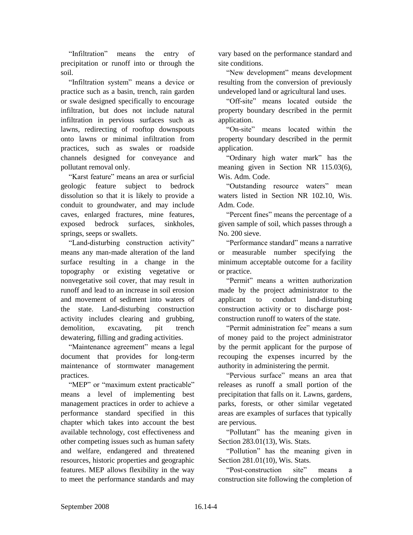"Infiltration" means the entry of precipitation or runoff into or through the soil.

"Infiltration system" means a device or practice such as a basin, trench, rain garden or swale designed specifically to encourage infiltration, but does not include natural infiltration in pervious surfaces such as lawns, redirecting of rooftop downspouts onto lawns or minimal infiltration from practices, such as swales or roadside channels designed for conveyance and pollutant removal only.

"Karst feature" means an area or surficial geologic feature subject to bedrock dissolution so that it is likely to provide a conduit to groundwater, and may include caves, enlarged fractures, mine features, exposed bedrock surfaces, sinkholes, springs, seeps or swallets.

"Land-disturbing construction activity" means any man-made alteration of the land surface resulting in a change in the topography or existing vegetative or nonvegetative soil cover, that may result in runoff and lead to an increase in soil erosion and movement of sediment into waters of the state. Land-disturbing construction activity includes clearing and grubbing, demolition, excavating, pit trench dewatering, filling and grading activities.

"Maintenance agreement" means a legal document that provides for long-term maintenance of stormwater management practices.

"MEP" or "maximum extent practicable" means a level of implementing best management practices in order to achieve a performance standard specified in this chapter which takes into account the best available technology, cost effectiveness and other competing issues such as human safety and welfare, endangered and threatened resources, historic properties and geographic features. MEP allows flexibility in the way to meet the performance standards and may

vary based on the performance standard and site conditions.

"New development" means development resulting from the conversion of previously undeveloped land or agricultural land uses.

"Off-site" means located outside the property boundary described in the permit application.

"On-site" means located within the property boundary described in the permit application.

"Ordinary high water mark" has the meaning given in Section NR 115.03(6), Wis. Adm. Code.

"Outstanding resource waters" mean waters listed in Section NR 102.10, Wis. Adm. Code.

"Percent fines" means the percentage of a given sample of soil, which passes through a No. 200 sieve.

"Performance standard" means a narrative or measurable number specifying the minimum acceptable outcome for a facility or practice.

"Permit" means a written authorization made by the project administrator to the applicant to conduct land-disturbing construction activity or to discharge postconstruction runoff to waters of the state.

"Permit administration fee" means a sum of money paid to the project administrator by the permit applicant for the purpose of recouping the expenses incurred by the authority in administering the permit.

"Pervious surface" means an area that releases as runoff a small portion of the precipitation that falls on it. Lawns, gardens, parks, forests, or other similar vegetated areas are examples of surfaces that typically are pervious.

"Pollutant" has the meaning given in Section 283.01(13), Wis. Stats.

"Pollution" has the meaning given in Section 281.01(10), Wis. Stats.

"Post-construction site" means a construction site following the completion of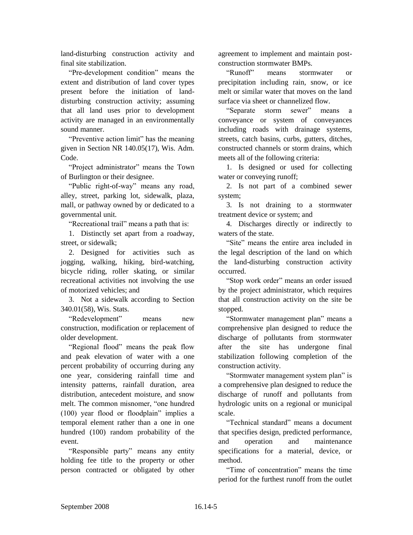land-disturbing construction activity and final site stabilization.

"Pre-development condition" means the extent and distribution of land cover types present before the initiation of landdisturbing construction activity; assuming that all land uses prior to development activity are managed in an environmentally sound manner.

"Preventive action limit" has the meaning given in Section NR 140.05(17), Wis. Adm. Code.

"Project administrator" means the Town of Burlington or their designee.

"Public right-of-way" means any road, alley, street, parking lot, sidewalk, plaza, mall, or pathway owned by or dedicated to a governmental unit.

"Recreational trail" means a path that is:

1. Distinctly set apart from a roadway, street, or sidewalk;

2. Designed for activities such as jogging, walking, hiking, bird-watching, bicycle riding, roller skating, or similar recreational activities not involving the use of motorized vehicles; and

3. Not a sidewalk according to Section 340.01(58), Wis. Stats.

"Redevelopment" means new construction, modification or replacement of older development.

"Regional flood" means the peak flow and peak elevation of water with a one percent probability of occurring during any one year, considering rainfall time and intensity patterns, rainfall duration, area distribution, antecedent moisture, and snow melt. The common misnomer, "one hundred (100) year flood or floodplain" implies a temporal element rather than a one in one hundred (100) random probability of the event.

"Responsible party" means any entity holding fee title to the property or other person contracted or obligated by other

agreement to implement and maintain postconstruction stormwater BMPs.

"Runoff" means stormwater or precipitation including rain, snow, or ice melt or similar water that moves on the land surface via sheet or channelized flow.

"Separate storm sewer" means a conveyance or system of conveyances including roads with drainage systems, streets, catch basins, curbs, gutters, ditches, constructed channels or storm drains, which meets all of the following criteria:

1. Is designed or used for collecting water or conveying runoff;

2. Is not part of a combined sewer system;

3. Is not draining to a stormwater treatment device or system; and

4. Discharges directly or indirectly to waters of the state.

"Site" means the entire area included in the legal description of the land on which the land-disturbing construction activity occurred.

"Stop work order" means an order issued by the project administrator, which requires that all construction activity on the site be stopped.

"Stormwater management plan" means a comprehensive plan designed to reduce the discharge of pollutants from stormwater after the site has undergone final stabilization following completion of the construction activity.

"Stormwater management system plan" is a comprehensive plan designed to reduce the discharge of runoff and pollutants from hydrologic units on a regional or municipal scale.

"Technical standard" means a document that specifies design, predicted performance, and operation and maintenance specifications for a material, device, or method.

"Time of concentration" means the time period for the furthest runoff from the outlet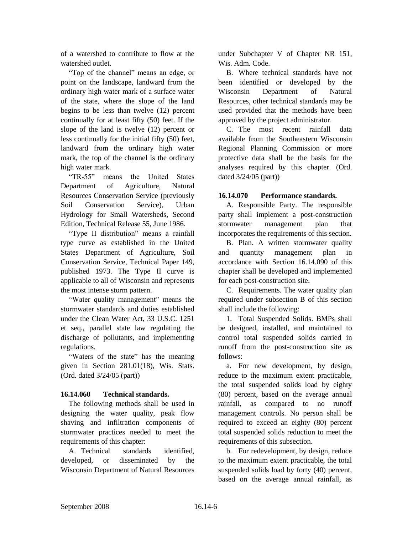of a watershed to contribute to flow at the watershed outlet.

"Top of the channel" means an edge, or point on the landscape, landward from the ordinary high water mark of a surface water of the state, where the slope of the land begins to be less than twelve (12) percent continually for at least fifty (50) feet. If the slope of the land is twelve (12) percent or less continually for the initial fifty (50) feet, landward from the ordinary high water mark, the top of the channel is the ordinary high water mark.

"TR-55" means the United States Department of Agriculture, Natural Resources Conservation Service (previously Soil Conservation Service), Urban Hydrology for Small Watersheds, Second Edition, Technical Release 55, June 1986.

"Type II distribution" means a rainfall type curve as established in the United States Department of Agriculture, Soil Conservation Service, Technical Paper 149, published 1973. The Type II curve is applicable to all of Wisconsin and represents the most intense storm pattern.

"Water quality management" means the stormwater standards and duties established under the Clean Water Act, 33 U.S.C. 1251 et seq., parallel state law regulating the discharge of pollutants, and implementing regulations.

"Waters of the state" has the meaning given in Section 281.01(18), Wis. Stats. (Ord. dated 3/24/05 (part))

# **16.14.060 Technical standards.**

The following methods shall be used in designing the water quality, peak flow shaving and infiltration components of stormwater practices needed to meet the requirements of this chapter:

A. Technical standards identified, developed, or disseminated by the Wisconsin Department of Natural Resources under Subchapter V of Chapter NR 151, Wis. Adm. Code.

B. Where technical standards have not been identified or developed by the Wisconsin Department of Natural Resources, other technical standards may be used provided that the methods have been approved by the project administrator.

C. The most recent rainfall data available from the Southeastern Wisconsin Regional Planning Commission or more protective data shall be the basis for the analyses required by this chapter. (Ord. dated 3/24/05 (part))

## **16.14.070 Performance standards.**

A. Responsible Party. The responsible party shall implement a post-construction stormwater management plan that incorporates the requirements of this section.

B. Plan. A written stormwater quality and quantity management plan in accordance with Section 16.14.090 of this chapter shall be developed and implemented for each post-construction site.

C. Requirements. The water quality plan required under subsection B of this section shall include the following:

1. Total Suspended Solids. BMPs shall be designed, installed, and maintained to control total suspended solids carried in runoff from the post-construction site as follows:

a. For new development, by design, reduce to the maximum extent practicable, the total suspended solids load by eighty (80) percent, based on the average annual rainfall, as compared to no runoff management controls. No person shall be required to exceed an eighty (80) percent total suspended solids reduction to meet the requirements of this subsection.

b. For redevelopment, by design, reduce to the maximum extent practicable, the total suspended solids load by forty (40) percent, based on the average annual rainfall, as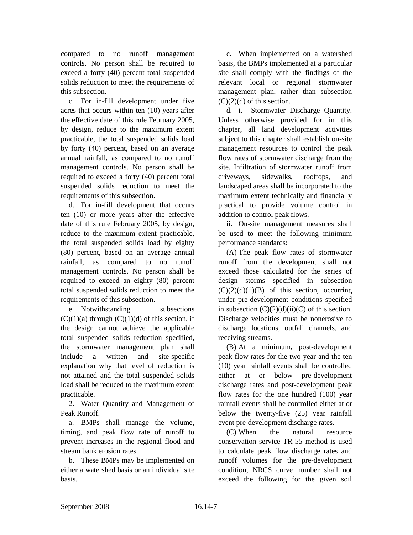compared to no runoff management controls. No person shall be required to exceed a forty (40) percent total suspended solids reduction to meet the requirements of this subsection.

c. For in-fill development under five acres that occurs within ten (10) years after the effective date of this rule February 2005, by design, reduce to the maximum extent practicable, the total suspended solids load by forty (40) percent, based on an average annual rainfall, as compared to no runoff management controls. No person shall be required to exceed a forty (40) percent total suspended solids reduction to meet the requirements of this subsection.

d. For in-fill development that occurs ten (10) or more years after the effective date of this rule February 2005, by design, reduce to the maximum extent practicable, the total suspended solids load by eighty (80) percent, based on an average annual rainfall, as compared to no runoff management controls. No person shall be required to exceed an eighty (80) percent total suspended solids reduction to meet the requirements of this subsection.

e. Notwithstanding subsections  $(C)(1)(a)$  through  $(C)(1)(d)$  of this section, if the design cannot achieve the applicable total suspended solids reduction specified, the stormwater management plan shall include a written and site-specific explanation why that level of reduction is not attained and the total suspended solids load shall be reduced to the maximum extent practicable.

2. Water Quantity and Management of Peak Runoff.

a. BMPs shall manage the volume, timing, and peak flow rate of runoff to prevent increases in the regional flood and stream bank erosion rates.

b. These BMPs may be implemented on either a watershed basis or an individual site basis.

c. When implemented on a watershed basis, the BMPs implemented at a particular site shall comply with the findings of the relevant local or regional stormwater management plan, rather than subsection  $(C)(2)(d)$  of this section.

d. i. Stormwater Discharge Quantity. Unless otherwise provided for in this chapter, all land development activities subject to this chapter shall establish on-site management resources to control the peak flow rates of stormwater discharge from the site. Infiltration of stormwater runoff from driveways, sidewalks, rooftops, and landscaped areas shall be incorporated to the maximum extent technically and financially practical to provide volume control in addition to control peak flows.

ii. On-site management measures shall be used to meet the following minimum performance standards:

(A) The peak flow rates of stormwater runoff from the development shall not exceed those calculated for the series of design storms specified in subsection  $(C)(2)(d)(ii)(B)$  of this section, occurring under pre-development conditions specified in subsection  $(C)(2)(d)(ii)(C)$  of this section. Discharge velocities must be nonerosive to discharge locations, outfall channels, and receiving streams.

(B) At a minimum, post-development peak flow rates for the two-year and the ten (10) year rainfall events shall be controlled either at or below pre-development discharge rates and post-development peak flow rates for the one hundred (100) year rainfall events shall be controlled either at or below the twenty-five (25) year rainfall event pre-development discharge rates.

(C) When the natural resource conservation service TR-55 method is used to calculate peak flow discharge rates and runoff volumes for the pre-development condition, NRCS curve number shall not exceed the following for the given soil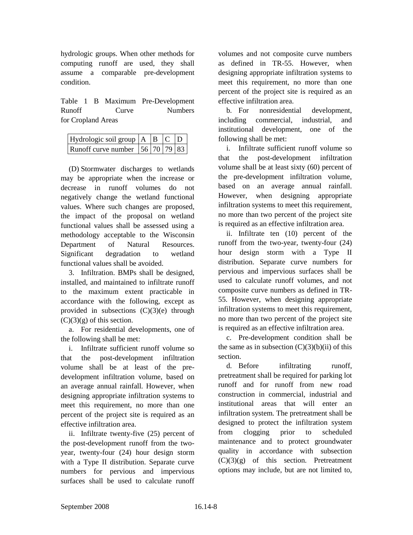hydrologic groups. When other methods for computing runoff are used, they shall assume a comparable pre-development condition.

Table 1 B Maximum Pre-Development Runoff Curve Numbers for Cropland Areas

| Hydrologic soil group $ A B $ $\boxed{C}$ $\boxed{D}$                   |  |  |
|-------------------------------------------------------------------------|--|--|
| Runoff curve number $\left  \frac{56}{70} \right  79 \left  83 \right $ |  |  |

(D) Stormwater discharges to wetlands may be appropriate when the increase or decrease in runoff volumes do not negatively change the wetland functional values. Where such changes are proposed, the impact of the proposal on wetland functional values shall be assessed using a methodology acceptable to the Wisconsin Department of Natural Resources. Significant degradation to wetland functional values shall be avoided.

3. Infiltration. BMPs shall be designed, installed, and maintained to infiltrate runoff to the maximum extent practicable in accordance with the following, except as provided in subsections  $(C)(3)(e)$  through  $(C)(3)(g)$  of this section.

a. For residential developments, one of the following shall be met:

i. Infiltrate sufficient runoff volume so that the post-development infiltration volume shall be at least of the predevelopment infiltration volume, based on an average annual rainfall. However, when designing appropriate infiltration systems to meet this requirement, no more than one percent of the project site is required as an effective infiltration area.

ii. Infiltrate twenty-five (25) percent of the post-development runoff from the twoyear, twenty-four (24) hour design storm with a Type II distribution. Separate curve numbers for pervious and impervious surfaces shall be used to calculate runoff

volumes and not composite curve numbers as defined in TR-55. However, when designing appropriate infiltration systems to meet this requirement, no more than one percent of the project site is required as an effective infiltration area.

b. For nonresidential development, including commercial, industrial, and institutional development, one of the following shall be met:

i. Infiltrate sufficient runoff volume so that the post-development infiltration volume shall be at least sixty (60) percent of the pre-development infiltration volume, based on an average annual rainfall. However, when designing appropriate infiltration systems to meet this requirement, no more than two percent of the project site is required as an effective infiltration area.

ii. Infiltrate ten (10) percent of the runoff from the two-year, twenty-four (24) hour design storm with a Type II distribution. Separate curve numbers for pervious and impervious surfaces shall be used to calculate runoff volumes, and not composite curve numbers as defined in TR-55. However, when designing appropriate infiltration systems to meet this requirement, no more than two percent of the project site is required as an effective infiltration area.

c. Pre-development condition shall be the same as in subsection  $(C)(3)(b)(ii)$  of this section.

d. Before infiltrating runoff, pretreatment shall be required for parking lot runoff and for runoff from new road construction in commercial, industrial and institutional areas that will enter an infiltration system. The pretreatment shall be designed to protect the infiltration system from clogging prior to scheduled maintenance and to protect groundwater quality in accordance with subsection  $(C)(3)(g)$  of this section. Pretreatment options may include, but are not limited to,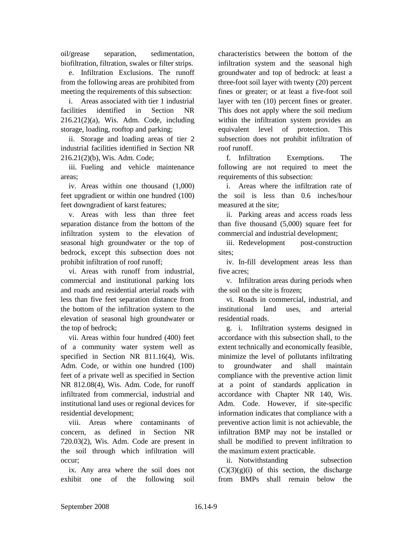oil/grease separation, sedimentation, biofiltration, filtration, swales or filter strips.

e. Infiltration Exclusions. The runoff from the following areas are prohibited from meeting the requirements of this subsection:

i. Areas associated with tier 1 industrial facilities identified in Section NR 216.21(2)(a), Wis. Adm. Code, including storage, loading, rooftop and parking;

ii. Storage and loading areas of tier 2 industrial facilities identified in Section NR 216.21(2)(b), Wis. Adm. Code;

iii. Fueling and vehicle maintenance areas;

iv. Areas within one thousand (1,000) feet upgradient or within one hundred (100) feet downgradient of karst features;

v. Areas with less than three feet separation distance from the bottom of the infiltration system to the elevation of seasonal high groundwater or the top of bedrock, except this subsection does not prohibit infiltration of roof runoff;

vi. Areas with runoff from industrial, commercial and institutional parking lots and roads and residential arterial roads with less than five feet separation distance from the bottom of the infiltration system to the elevation of seasonal high groundwater or the top of bedrock;

vii. Areas within four hundred (400) feet of a community water system well as specified in Section NR 811.16(4), Wis. Adm. Code, or within one hundred (100) feet of a private well as specified in Section NR 812.08(4), Wis. Adm. Code, for runoff infiltrated from commercial, industrial and institutional land uses or regional devices for residential development;

viii. Areas where contaminants of concern, as defined in Section NR 720.03(2), Wis. Adm. Code are present in the soil through which infiltration will occur;

ix. Any area where the soil does not exhibit one of the following soil

characteristics between the bottom of the infiltration system and the seasonal high groundwater and top of bedrock: at least a three-foot soil layer with twenty (20) percent fines or greater; or at least a five-foot soil layer with ten (10) percent fines or greater. This does not apply where the soil medium within the infiltration system provides an equivalent level of protection. This subsection does not prohibit infiltration of roof runoff.

f. Infiltration Exemptions. The following are not required to meet the requirements of this subsection:

i. Areas where the infiltration rate of the soil is less than 0.6 inches/hour measured at the site;

ii. Parking areas and access roads less than five thousand (5,000) square feet for commercial and industrial development;

iii. Redevelopment post-construction sites;

iv. In-fill development areas less than five acres;

v. Infiltration areas during periods when the soil on the site is frozen;

vi. Roads in commercial, industrial, and institutional land uses, and arterial residential roads.

g. i. Infiltration systems designed in accordance with this subsection shall, to the extent technically and economically feasible, minimize the level of pollutants infiltrating to groundwater and shall maintain compliance with the preventive action limit at a point of standards application in accordance with Chapter NR 140, Wis. Adm. Code. However, if site-specific information indicates that compliance with a preventive action limit is not achievable, the infiltration BMP may not be installed or shall be modified to prevent infiltration to the maximum extent practicable.

ii. Notwithstanding subsection  $(C)(3)(g)(i)$  of this section, the discharge from BMPs shall remain below the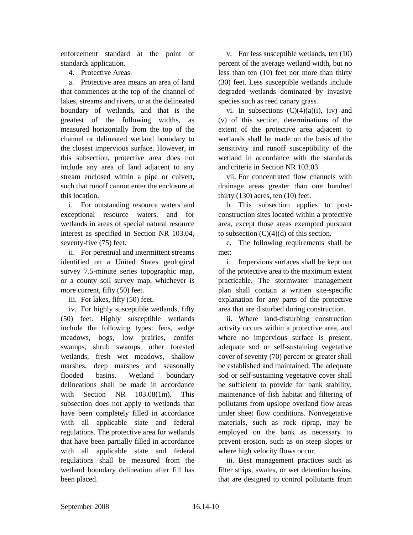enforcement standard at the point of standards application.

4. Protective Areas.

a. Protective area means an area of land that commences at the top of the channel of lakes, streams and rivers, or at the delineated boundary of wetlands, and that is the greatest of the following widths, as measured horizontally from the top of the channel or delineated wetland boundary to the closest impervious surface. However, in this subsection, protective area does not include any area of land adjacent to any stream enclosed within a pipe or culvert, such that runoff cannot enter the enclosure at this location.

i. For outstanding resource waters and exceptional resource waters, and for wetlands in areas of special natural resource interest as specified in Section NR 103.04, seventy-five (75) feet.

ii. For perennial and intermittent streams identified on a United States geological survey 7.5-minute series topographic map, or a county soil survey map, whichever is more current, fifty (50) feet.

iii. For lakes, fifty (50) feet.

iv. For highly susceptible wetlands, fifty (50) feet. Highly susceptible wetlands include the following types: fens, sedge meadows, bogs, low prairies, conifer swamps, shrub swamps, other forested wetlands, fresh wet meadows, shallow marshes, deep marshes and seasonally flooded basins. Wetland boundary delineations shall be made in accordance with Section NR 103.08(1m). This subsection does not apply to wetlands that have been completely filled in accordance with all applicable state and federal regulations. The protective area for wetlands that have been partially filled in accordance with all applicable state and federal regulations shall be measured from the wetland boundary delineation after fill has been placed.

v. For less susceptible wetlands, ten (10) percent of the average wetland width, but no less than ten (10) feet nor more than thirty (30) feet. Less susceptible wetlands include degraded wetlands dominated by invasive species such as reed canary grass.

vi. In subsections  $(C)(4)(a)(i)$ , (iv) and (v) of this section, determinations of the extent of the protective area adjacent to wetlands shall be made on the basis of the sensitivity and runoff susceptibility of the wetland in accordance with the standards and criteria in Section NR 103.03.

vii. For concentrated flow channels with drainage areas greater than one hundred thirty  $(130)$  acres, ten  $(10)$  feet.

b. This subsection applies to postconstruction sites located within a protective area, except those areas exempted pursuant to subsection  $(C)(4)(d)$  of this section.

c. The following requirements shall be met:

i. Impervious surfaces shall be kept out of the protective area to the maximum extent practicable. The stormwater management plan shall contain a written site-specific explanation for any parts of the protective area that are disturbed during construction.

ii. Where land-disturbing construction activity occurs within a protective area, and where no impervious surface is present, adequate sod or self-sustaining vegetative cover of seventy (70) percent or greater shall be established and maintained. The adequate sod or self-sustaining vegetative cover shall be sufficient to provide for bank stability, maintenance of fish habitat and filtering of pollutants from upslope overland flow areas under sheet flow conditions. Nonvegetative materials, such as rock riprap, may be employed on the bank as necessary to prevent erosion, such as on steep slopes or where high velocity flows occur.

iii. Best management practices such as filter strips, swales, or wet detention basins, that are designed to control pollutants from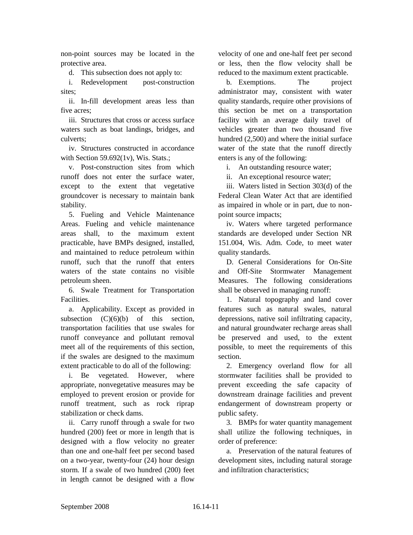non-point sources may be located in the protective area.

d. This subsection does not apply to:

i. Redevelopment post-construction sites;

ii. In-fill development areas less than five acres;

iii. Structures that cross or access surface waters such as boat landings, bridges, and culverts;

iv. Structures constructed in accordance with Section  $59.692(1v)$ , Wis. Stats.;

v. Post-construction sites from which runoff does not enter the surface water, except to the extent that vegetative groundcover is necessary to maintain bank stability.

5. Fueling and Vehicle Maintenance Areas. Fueling and vehicle maintenance areas shall, to the maximum extent practicable, have BMPs designed, installed, and maintained to reduce petroleum within runoff, such that the runoff that enters waters of the state contains no visible petroleum sheen.

6. Swale Treatment for Transportation **Facilities** 

a. Applicability. Except as provided in subsection  $(C)(6)(b)$  of this section, transportation facilities that use swales for runoff conveyance and pollutant removal meet all of the requirements of this section, if the swales are designed to the maximum extent practicable to do all of the following:

i. Be vegetated. However, where appropriate, nonvegetative measures may be employed to prevent erosion or provide for runoff treatment, such as rock riprap stabilization or check dams.

ii. Carry runoff through a swale for two hundred (200) feet or more in length that is designed with a flow velocity no greater than one and one-half feet per second based on a two-year, twenty-four (24) hour design storm. If a swale of two hundred (200) feet in length cannot be designed with a flow

velocity of one and one-half feet per second or less, then the flow velocity shall be reduced to the maximum extent practicable.

b. Exemptions. The project administrator may, consistent with water quality standards, require other provisions of this section be met on a transportation facility with an average daily travel of vehicles greater than two thousand five hundred (2,500) and where the initial surface water of the state that the runoff directly enters is any of the following:

i. An outstanding resource water;

ii. An exceptional resource water;

iii. Waters listed in Section 303(d) of the Federal Clean Water Act that are identified as impaired in whole or in part, due to nonpoint source impacts;

iv. Waters where targeted performance standards are developed under Section NR 151.004, Wis. Adm. Code, to meet water quality standards.

D. General Considerations for On-Site and Off-Site Stormwater Management Measures. The following considerations shall be observed in managing runoff:

1. Natural topography and land cover features such as natural swales, natural depressions, native soil infiltrating capacity, and natural groundwater recharge areas shall be preserved and used, to the extent possible, to meet the requirements of this section.

2. Emergency overland flow for all stormwater facilities shall be provided to prevent exceeding the safe capacity of downstream drainage facilities and prevent endangerment of downstream property or public safety.

3. BMPs for water quantity management shall utilize the following techniques, in order of preference:

a. Preservation of the natural features of development sites, including natural storage and infiltration characteristics;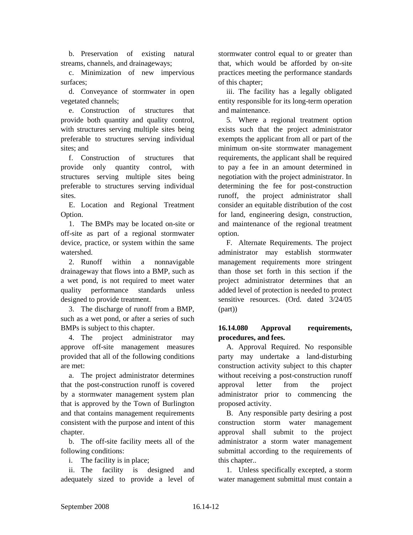b. Preservation of existing natural streams, channels, and drainageways;

c. Minimization of new impervious surfaces;

d. Conveyance of stormwater in open vegetated channels;

e. Construction of structures that provide both quantity and quality control, with structures serving multiple sites being preferable to structures serving individual sites; and

f. Construction of structures that provide only quantity control, with structures serving multiple sites being preferable to structures serving individual sites.

E. Location and Regional Treatment Option.

1. The BMPs may be located on-site or off-site as part of a regional stormwater device, practice, or system within the same watershed.

2. Runoff within a nonnavigable drainageway that flows into a BMP, such as a wet pond, is not required to meet water quality performance standards unless designed to provide treatment.

3. The discharge of runoff from a BMP, such as a wet pond, or after a series of such BMPs is subject to this chapter.

4. The project administrator may approve off-site management measures provided that all of the following conditions are met:

a. The project administrator determines that the post-construction runoff is covered by a stormwater management system plan that is approved by the Town of Burlington and that contains management requirements consistent with the purpose and intent of this chapter.

b. The off-site facility meets all of the following conditions:

i. The facility is in place;

ii. The facility is designed and adequately sized to provide a level of

stormwater control equal to or greater than that, which would be afforded by on-site practices meeting the performance standards of this chapter;

iii. The facility has a legally obligated entity responsible for its long-term operation and maintenance.

5. Where a regional treatment option exists such that the project administrator exempts the applicant from all or part of the minimum on-site stormwater management requirements, the applicant shall be required to pay a fee in an amount determined in negotiation with the project administrator. In determining the fee for post-construction runoff, the project administrator shall consider an equitable distribution of the cost for land, engineering design, construction, and maintenance of the regional treatment option.

F. Alternate Requirements. The project administrator may establish stormwater management requirements more stringent than those set forth in this section if the project administrator determines that an added level of protection is needed to protect sensitive resources. (Ord. dated 3/24/05 (part))

## **16.14.080 Approval requirements, procedures, and fees.**

A. Approval Required. No responsible party may undertake a land-disturbing construction activity subject to this chapter without receiving a post-construction runoff approval letter from the project administrator prior to commencing the proposed activity.

B. Any responsible party desiring a post construction storm water management approval shall submit to the project administrator a storm water management submittal according to the requirements of this chapter..

1. Unless specifically excepted, a storm water management submittal must contain a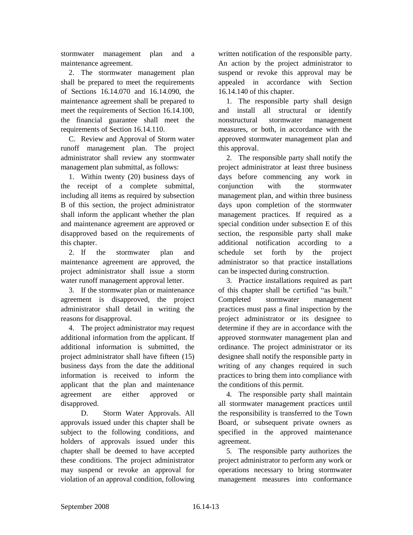stormwater management plan and a maintenance agreement.

2. The stormwater management plan shall be prepared to meet the requirements of Sections 16.14.070 and 16.14.090, the maintenance agreement shall be prepared to meet the requirements of Section 16.14.100, the financial guarantee shall meet the requirements of Section 16.14.110.

C. Review and Approval of Storm water runoff management plan. The project administrator shall review any stormwater management plan submittal, as follows:

1. Within twenty (20) business days of the receipt of a complete submittal, including all items as required by subsection B of this section, the project administrator shall inform the applicant whether the plan and maintenance agreement are approved or disapproved based on the requirements of this chapter.

2. If the stormwater plan and maintenance agreement are approved, the project administrator shall issue a storm water runoff management approval letter.

3. If the stormwater plan or maintenance agreement is disapproved, the project administrator shall detail in writing the reasons for disapproval.

4. The project administrator may request additional information from the applicant. If additional information is submitted, the project administrator shall have fifteen (15) business days from the date the additional information is received to inform the applicant that the plan and maintenance agreement are either approved or disapproved.

D. Storm Water Approvals. All approvals issued under this chapter shall be subject to the following conditions, and holders of approvals issued under this chapter shall be deemed to have accepted these conditions. The project administrator may suspend or revoke an approval for violation of an approval condition, following

written notification of the responsible party. An action by the project administrator to suspend or revoke this approval may be appealed in accordance with Section 16.14.140 of this chapter.

1. The responsible party shall design and install all structural or identify nonstructural stormwater management measures, or both, in accordance with the approved stormwater management plan and this approval.

2. The responsible party shall notify the project administrator at least three business days before commencing any work in conjunction with the stormwater management plan, and within three business days upon completion of the stormwater management practices. If required as a special condition under subsection E of this section, the responsible party shall make additional notification according to a schedule set forth by the project administrator so that practice installations can be inspected during construction.

3. Practice installations required as part of this chapter shall be certified "as built." Completed stormwater management practices must pass a final inspection by the project administrator or its designee to determine if they are in accordance with the approved stormwater management plan and ordinance. The project administrator or its designee shall notify the responsible party in writing of any changes required in such practices to bring them into compliance with the conditions of this permit.

4. The responsible party shall maintain all stormwater management practices until the responsibility is transferred to the Town Board, or subsequent private owners as specified in the approved maintenance agreement.

5. The responsible party authorizes the project administrator to perform any work or operations necessary to bring stormwater management measures into conformance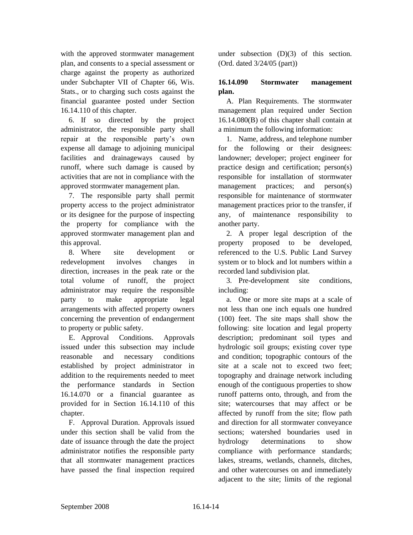with the approved stormwater management plan, and consents to a special assessment or charge against the property as authorized under Subchapter VII of Chapter 66, Wis. Stats., or to charging such costs against the financial guarantee posted under Section 16.14.110 of this chapter.

6. If so directed by the project administrator, the responsible party shall repair at the responsible party's own expense all damage to adjoining municipal facilities and drainageways caused by runoff, where such damage is caused by activities that are not in compliance with the approved stormwater management plan.

7. The responsible party shall permit property access to the project administrator or its designee for the purpose of inspecting the property for compliance with the approved stormwater management plan and this approval.

8. Where site development or redevelopment involves changes in direction, increases in the peak rate or the total volume of runoff, the project administrator may require the responsible party to make appropriate legal arrangements with affected property owners concerning the prevention of endangerment to property or public safety.

E. Approval Conditions. Approvals issued under this subsection may include reasonable and necessary conditions established by project administrator in addition to the requirements needed to meet the performance standards in Section 16.14.070 or a financial guarantee as provided for in Section 16.14.110 of this chapter.

F. Approval Duration. Approvals issued under this section shall be valid from the date of issuance through the date the project administrator notifies the responsible party that all stormwater management practices have passed the final inspection required

under subsection (D)(3) of this section. (Ord. dated 3/24/05 (part))

## **16.14.090 Stormwater management plan.**

A. Plan Requirements. The stormwater management plan required under Section 16.14.080(B) of this chapter shall contain at a minimum the following information:

1. Name, address, and telephone number for the following or their designees: landowner; developer; project engineer for practice design and certification; person(s) responsible for installation of stormwater management practices; and person(s) responsible for maintenance of stormwater management practices prior to the transfer, if any, of maintenance responsibility to another party.

2. A proper legal description of the property proposed to be developed, referenced to the U.S. Public Land Survey system or to block and lot numbers within a recorded land subdivision plat.

3. Pre-development site conditions, including:

a. One or more site maps at a scale of not less than one inch equals one hundred (100) feet. The site maps shall show the following: site location and legal property description; predominant soil types and hydrologic soil groups; existing cover type and condition; topographic contours of the site at a scale not to exceed two feet; topography and drainage network including enough of the contiguous properties to show runoff patterns onto, through, and from the site; watercourses that may affect or be affected by runoff from the site; flow path and direction for all stormwater conveyance sections; watershed boundaries used in hydrology determinations to show compliance with performance standards; lakes, streams, wetlands, channels, ditches, and other watercourses on and immediately adjacent to the site; limits of the regional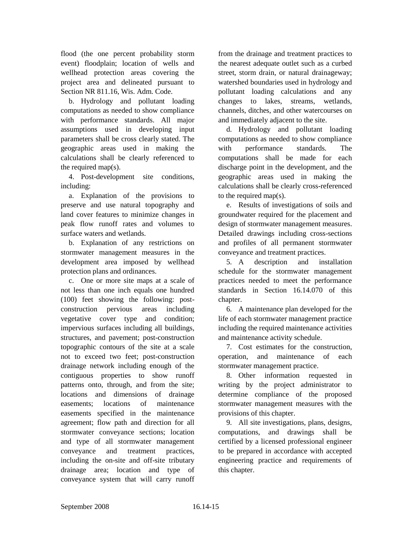flood (the one percent probability storm event) floodplain; location of wells and wellhead protection areas covering the project area and delineated pursuant to Section NR 811.16, Wis. Adm. Code.

b. Hydrology and pollutant loading computations as needed to show compliance with performance standards. All major assumptions used in developing input parameters shall be cross clearly stated. The geographic areas used in making the calculations shall be clearly referenced to the required map(s).

4. Post-development site conditions, including:

a. Explanation of the provisions to preserve and use natural topography and land cover features to minimize changes in peak flow runoff rates and volumes to surface waters and wetlands.

b. Explanation of any restrictions on stormwater management measures in the development area imposed by wellhead protection plans and ordinances.

c. One or more site maps at a scale of not less than one inch equals one hundred (100) feet showing the following: postconstruction pervious areas including vegetative cover type and condition; impervious surfaces including all buildings, structures, and pavement; post-construction topographic contours of the site at a scale not to exceed two feet; post-construction drainage network including enough of the contiguous properties to show runoff patterns onto, through, and from the site; locations and dimensions of drainage easements; locations of maintenance easements specified in the maintenance agreement; flow path and direction for all stormwater conveyance sections; location and type of all stormwater management conveyance and treatment practices, including the on-site and off-site tributary drainage area; location and type of conveyance system that will carry runoff

from the drainage and treatment practices to the nearest adequate outlet such as a curbed street, storm drain, or natural drainageway; watershed boundaries used in hydrology and pollutant loading calculations and any changes to lakes, streams, wetlands, channels, ditches, and other watercourses on and immediately adjacent to the site.

d. Hydrology and pollutant loading computations as needed to show compliance with performance standards. The computations shall be made for each discharge point in the development, and the geographic areas used in making the calculations shall be clearly cross-referenced to the required map(s).

e. Results of investigations of soils and groundwater required for the placement and design of stormwater management measures. Detailed drawings including cross-sections and profiles of all permanent stormwater conveyance and treatment practices.

5. A description and installation schedule for the stormwater management practices needed to meet the performance standards in Section 16.14.070 of this chapter.

6. A maintenance plan developed for the life of each stormwater management practice including the required maintenance activities and maintenance activity schedule.

7. Cost estimates for the construction, operation, and maintenance of each stormwater management practice.

8. Other information requested in writing by the project administrator to determine compliance of the proposed stormwater management measures with the provisions of this chapter.

9. All site investigations, plans, designs, computations, and drawings shall be certified by a licensed professional engineer to be prepared in accordance with accepted engineering practice and requirements of this chapter.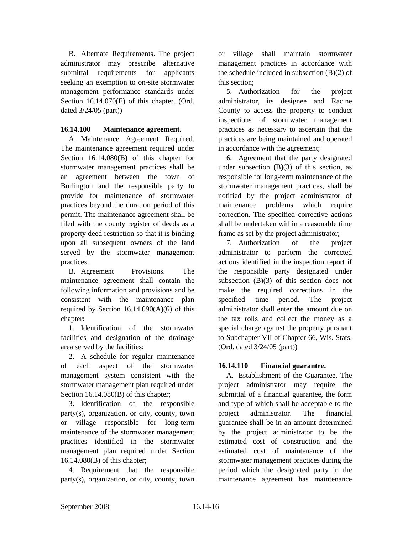B. Alternate Requirements. The project administrator may prescribe alternative submittal requirements for applicants seeking an exemption to on-site stormwater management performance standards under Section 16.14.070(E) of this chapter. (Ord. dated 3/24/05 (part))

## **16.14.100 Maintenance agreement.**

A. Maintenance Agreement Required. The maintenance agreement required under Section 16.14.080(B) of this chapter for stormwater management practices shall be an agreement between the town of Burlington and the responsible party to provide for maintenance of stormwater practices beyond the duration period of this permit. The maintenance agreement shall be filed with the county register of deeds as a property deed restriction so that it is binding upon all subsequent owners of the land served by the stormwater management practices.

B. Agreement Provisions. The maintenance agreement shall contain the following information and provisions and be consistent with the maintenance plan required by Section  $16.14.090(A)(6)$  of this chapter:

1. Identification of the stormwater facilities and designation of the drainage area served by the facilities;

2. A schedule for regular maintenance of each aspect of the stormwater management system consistent with the stormwater management plan required under Section 16.14.080(B) of this chapter;

3. Identification of the responsible party(s), organization, or city, county, town or village responsible for long-term maintenance of the stormwater management practices identified in the stormwater management plan required under Section 16.14.080(B) of this chapter;

4. Requirement that the responsible party(s), organization, or city, county, town

or village shall maintain stormwater management practices in accordance with the schedule included in subsection (B)(2) of this section;

5. Authorization for the project administrator, its designee and Racine County to access the property to conduct inspections of stormwater management practices as necessary to ascertain that the practices are being maintained and operated in accordance with the agreement;

6. Agreement that the party designated under subsection  $(B)(3)$  of this section, as responsible for long-term maintenance of the stormwater management practices, shall be notified by the project administrator of maintenance problems which require correction. The specified corrective actions shall be undertaken within a reasonable time frame as set by the project administrator;

7. Authorization of the project administrator to perform the corrected actions identified in the inspection report if the responsible party designated under subsection (B)(3) of this section does not make the required corrections in the specified time period. The project administrator shall enter the amount due on the tax rolls and collect the money as a special charge against the property pursuant to Subchapter VII of Chapter 66, Wis. Stats. (Ord. dated 3/24/05 (part))

## **16.14.110 Financial guarantee.**

A. Establishment of the Guarantee. The project administrator may require the submittal of a financial guarantee, the form and type of which shall be acceptable to the project administrator. The financial guarantee shall be in an amount determined by the project administrator to be the estimated cost of construction and the estimated cost of maintenance of the stormwater management practices during the period which the designated party in the maintenance agreement has maintenance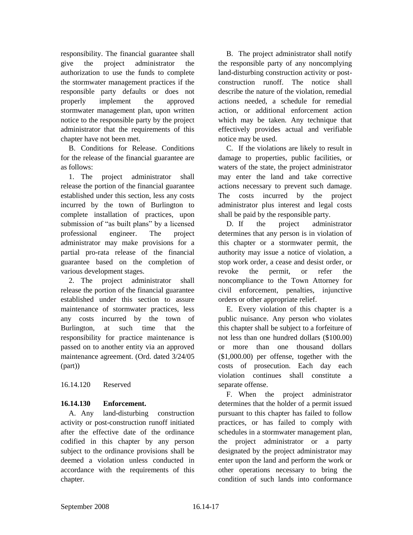responsibility. The financial guarantee shall give the project administrator the authorization to use the funds to complete the stormwater management practices if the responsible party defaults or does not properly implement the approved stormwater management plan, upon written notice to the responsible party by the project administrator that the requirements of this chapter have not been met.

B. Conditions for Release. Conditions for the release of the financial guarantee are as follows:

1. The project administrator shall release the portion of the financial guarantee established under this section, less any costs incurred by the town of Burlington to complete installation of practices, upon submission of "as built plans" by a licensed professional engineer. The project administrator may make provisions for a partial pro-rata release of the financial guarantee based on the completion of various development stages.

2. The project administrator shall release the portion of the financial guarantee established under this section to assure maintenance of stormwater practices, less any costs incurred by the town of Burlington, at such time that the responsibility for practice maintenance is passed on to another entity via an approved maintenance agreement. (Ord. dated 3/24/05 (part))

16.14.120 Reserved

# **16.14.130 Enforcement.**

A. Any land-disturbing construction activity or post-construction runoff initiated after the effective date of the ordinance codified in this chapter by any person subject to the ordinance provisions shall be deemed a violation unless conducted in accordance with the requirements of this chapter.

B. The project administrator shall notify the responsible party of any noncomplying land-disturbing construction activity or postconstruction runoff. The notice shall describe the nature of the violation, remedial actions needed, a schedule for remedial action, or additional enforcement action which may be taken. Any technique that effectively provides actual and verifiable notice may be used.

C. If the violations are likely to result in damage to properties, public facilities, or waters of the state, the project administrator may enter the land and take corrective actions necessary to prevent such damage. The costs incurred by the project administrator plus interest and legal costs shall be paid by the responsible party.

D. If the project administrator determines that any person is in violation of this chapter or a stormwater permit, the authority may issue a notice of violation, a stop work order, a cease and desist order, or revoke the permit, or refer the noncompliance to the Town Attorney for civil enforcement, penalties, injunctive orders or other appropriate relief.

E. Every violation of this chapter is a public nuisance. Any person who violates this chapter shall be subject to a forfeiture of not less than one hundred dollars (\$100.00) or more than one thousand dollars (\$1,000.00) per offense, together with the costs of prosecution. Each day each violation continues shall constitute a separate offense.

F. When the project administrator determines that the holder of a permit issued pursuant to this chapter has failed to follow practices, or has failed to comply with schedules in a stormwater management plan, the project administrator or a party designated by the project administrator may enter upon the land and perform the work or other operations necessary to bring the condition of such lands into conformance